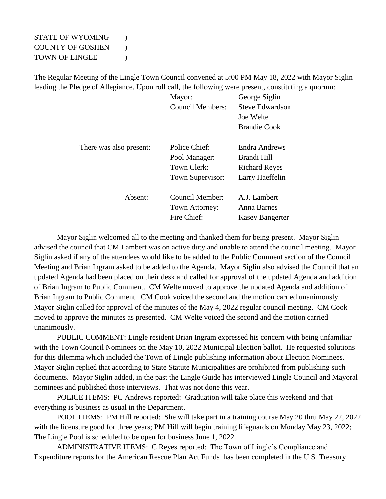## STATE OF WYOMING  $\qquad$  ) COUNTY OF GOSHEN ) TOWN OF LINGLE  $\qquad$  )

The Regular Meeting of the Lingle Town Council convened at 5:00 PM May 18, 2022 with Mayor Siglin leading the Pledge of Allegiance. Upon roll call, the following were present, constituting a quorum:

|                         | Mayor:                  | George Siglin          |
|-------------------------|-------------------------|------------------------|
|                         | <b>Council Members:</b> | Steve Edwardson        |
|                         |                         | Joe Welte              |
|                         |                         | <b>Brandie Cook</b>    |
| There was also present: | Police Chief:           | Endra Andrews          |
|                         | Pool Manager:           | Brandi Hill            |
|                         | Town Clerk:             | <b>Richard Reyes</b>   |
|                         | Town Supervisor:        | Larry Haeffelin        |
| Absent:                 | Council Member:         | A.J. Lambert           |
|                         | Town Attorney:          | Anna Barnes            |
|                         | Fire Chief:             | <b>Kasey Bangerter</b> |

Mayor Siglin welcomed all to the meeting and thanked them for being present. Mayor Siglin advised the council that CM Lambert was on active duty and unable to attend the council meeting. Mayor Siglin asked if any of the attendees would like to be added to the Public Comment section of the Council Meeting and Brian Ingram asked to be added to the Agenda. Mayor Siglin also advised the Council that an updated Agenda had been placed on their desk and called for approval of the updated Agenda and addition of Brian Ingram to Public Comment. CM Welte moved to approve the updated Agenda and addition of Brian Ingram to Public Comment. CM Cook voiced the second and the motion carried unanimously. Mayor Siglin called for approval of the minutes of the May 4, 2022 regular council meeting. CM Cook moved to approve the minutes as presented. CM Welte voiced the second and the motion carried unanimously.

PUBLIC COMMENT: Lingle resident Brian Ingram expressed his concern with being unfamiliar with the Town Council Nominees on the May 10, 2022 Municipal Election ballot. He requested solutions for this dilemma which included the Town of Lingle publishing information about Election Nominees. Mayor Siglin replied that according to State Statute Municipalities are prohibited from publishing such documents. Mayor Siglin added, in the past the Lingle Guide has interviewed Lingle Council and Mayoral nominees and published those interviews. That was not done this year.

POLICE ITEMS: PC Andrews reported: Graduation will take place this weekend and that everything is business as usual in the Department.

POOL ITEMS: PM Hill reported: She will take part in a training course May 20 thru May 22, 2022 with the licensure good for three years; PM Hill will begin training lifeguards on Monday May 23, 2022; The Lingle Pool is scheduled to be open for business June 1, 2022.

ADMINISTRATIVE ITEMS: C Reyes reported: The Town of Lingle's Compliance and Expenditure reports for the American Rescue Plan Act Funds has been completed in the U.S. Treasury